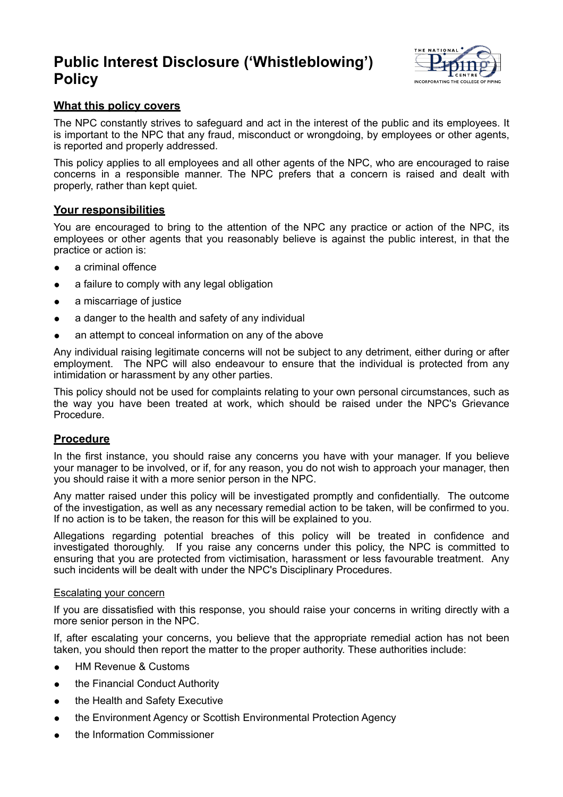# **Public Interest Disclosure ('Whistleblowing') Policy**



## **What this policy covers**

The NPC constantly strives to safeguard and act in the interest of the public and its employees. It is important to the NPC that any fraud, misconduct or wrongdoing, by employees or other agents, is reported and properly addressed.

This policy applies to all employees and all other agents of the NPC, who are encouraged to raise concerns in a responsible manner. The NPC prefers that a concern is raised and dealt with properly, rather than kept quiet.

## **Your responsibilities**

You are encouraged to bring to the attention of the NPC any practice or action of the NPC, its employees or other agents that you reasonably believe is against the public interest, in that the practice or action is:

- a criminal offence
- a failure to comply with any legal obligation
- a miscarriage of justice
- a danger to the health and safety of any individual
- an attempt to conceal information on any of the above

Any individual raising legitimate concerns will not be subject to any detriment, either during or after employment. The NPC will also endeavour to ensure that the individual is protected from any intimidation or harassment by any other parties.

This policy should not be used for complaints relating to your own personal circumstances, such as the way you have been treated at work, which should be raised under the NPC's Grievance Procedure.

## **Procedure**

In the first instance, you should raise any concerns you have with your manager. If you believe your manager to be involved, or if, for any reason, you do not wish to approach your manager, then you should raise it with a more senior person in the NPC.

Any matter raised under this policy will be investigated promptly and confidentially. The outcome of the investigation, as well as any necessary remedial action to be taken, will be confirmed to you. If no action is to be taken, the reason for this will be explained to you.

Allegations regarding potential breaches of this policy will be treated in confidence and investigated thoroughly. If you raise any concerns under this policy, the NPC is committed to ensuring that you are protected from victimisation, harassment or less favourable treatment. Any such incidents will be dealt with under the NPC's Disciplinary Procedures.

#### Escalating your concern

If you are dissatisfied with this response, you should raise your concerns in writing directly with a more senior person in the NPC.

If, after escalating your concerns, you believe that the appropriate remedial action has not been taken, you should then report the matter to the proper authority. These authorities include:

- HM Revenue & Customs
- the Financial Conduct Authority
- the Health and Safety Executive
- the Environment Agency or Scottish Environmental Protection Agency
- the Information Commissioner